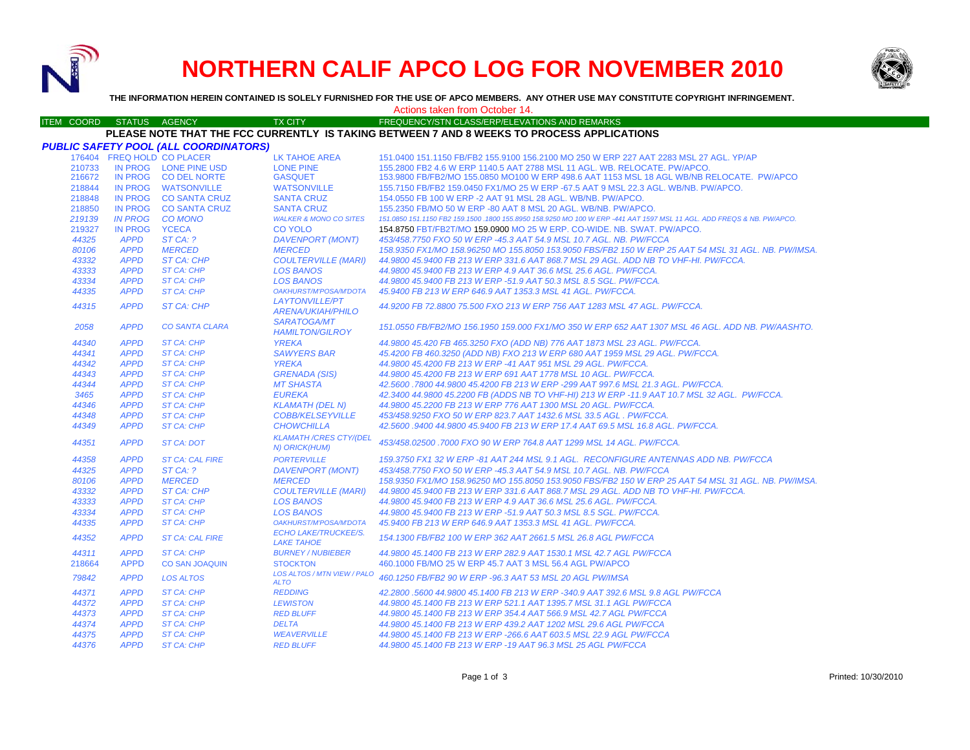

# **NORTHERN CALIF APCO LOG FOR NOVEMBER 2010**



**THE INFORMATION HEREIN CONTAINED IS SOLELY FURNISHED FOR THE USE OF APCO MEMBERS. ANY OTHER USE MAY CONSTITUTE COPYRIGHT INFRINGEMENT.**

#### Actions taken from October 14.

#### ITEM COORD STATUS AGENCY TX CITY TIREQUENCY/STN CLASS/ERP/ELEVATIONS AND REMARKS **PLEASE NOTE THAT THE FCC CURRENTLY IS TAKING BETWEEN 7 AND 8 WEEKS TO PROCESS APPLICATIONS**

|        |                | <b>PUBLIC SAFETY POOL (ALL COORDINATORS)</b> |                                                       |                                                                                                                        |
|--------|----------------|----------------------------------------------|-------------------------------------------------------|------------------------------------------------------------------------------------------------------------------------|
|        |                | 176404 FREQ HOLD CO PLACER                   | LK TAHOE AREA                                         | 151.0400 151.1150 FB/FB2 155.9100 156.2100 MO 250 W ERP 227 AAT 2283 MSL 27 AGL. YP/AP                                 |
| 210733 |                | IN PROG LONE PINE USD                        | <b>LONE PINE</b>                                      | 155,2800 FB2 4.6 W ERP 1140.5 AAT 2788 MSL 11 AGL, WB, RELOCATE, PW/APCO,                                              |
| 216672 |                | IN PROG CO DEL NORTE                         | <b>GASQUET</b>                                        | 153.9800 FB/FB2/MO 155.0850 MO100 W ERP 498.6 AAT 1153 MSL 18 AGL WB/NB RELOCATE. PW/APCO                              |
| 218844 |                | IN PROG WATSONVILLE                          | <b>WATSONVILLE</b>                                    | 155.7150 FB/FB2 159.0450 FX1/MO 25 W ERP -67.5 AAT 9 MSL 22.3 AGL, WB/NB, PW/APCO,                                     |
| 218848 |                | IN PROG CO SANTA CRUZ                        | <b>SANTA CRUZ</b>                                     | 154,0550 FB 100 W ERP -2 AAT 91 MSL 28 AGL, WB/NB, PW/APCO,                                                            |
| 218850 |                | IN PROG CO SANTA CRUZ                        | <b>SANTA CRUZ</b>                                     | 155,2350 FB/MO 50 W ERP -80 AAT 8 MSL 20 AGL, WB/NB, PW/APCO,                                                          |
| 219139 | <b>IN PROG</b> | <b>CO MONO</b>                               | <b>WALKER &amp; MONO CO SITES</b>                     | 151.0850 151.1150 FB2 159.1500 .1800 155.8950 158.9250 MO 100 W ERP -441 AAT 1597 MSL 11 AGL. ADD FREQS & NB. PW/APCO. |
| 219327 | <b>IN PROG</b> | <b>YCECA</b>                                 | <b>CO YOLO</b>                                        | 154.8750 FBT/FB2T/MO 159.0900 MO 25 W ERP. CO-WIDE. NB. SWAT. PW/APCO.                                                 |
| 44325  | <b>APPD</b>    | ST CA: ?                                     | <b>DAVENPORT (MONT)</b>                               | 453/458.7750 FXO 50 W ERP -45.3 AAT 54.9 MSL 10.7 AGL. NB. PW/FCCA                                                     |
| 80106  | <b>APPD</b>    | <b>MERCED</b>                                | <b>MERCED</b>                                         | 158.9350 FX1/MO 158.96250 MO 155.8050 153.9050 FBS/FB2 150 W ERP 25 AAT 54 MSL 31 AGL. NB. PW/IMSA.                    |
| 43332  | <b>APPD</b>    | <b>ST CA: CHP</b>                            | <b>COULTERVILLE (MARI)</b>                            | 44,9800 45,9400 FB 213 W ERP 331.6 AAT 868.7 MSL 29 AGL, ADD NB TO VHF-HI, PW/FCCA,                                    |
| 43333  | <b>APPD</b>    | <b>ST CA: CHP</b>                            | <b>LOS BANOS</b>                                      | 44.9800 45.9400 FB 213 W ERP 4.9 AAT 36.6 MSL 25.6 AGL, PW/FCCA.                                                       |
| 43334  | <b>APPD</b>    | <b>ST CA: CHP</b>                            | <b>LOS BANOS</b>                                      | 44.9800 45.9400 FB 213 W ERP -51.9 AAT 50.3 MSL 8.5 SGL, PW/FCCA.                                                      |
| 44335  | <b>APPD</b>    | <b>ST CA: CHP</b>                            | OAKHURST/M'POSA/M'DOTA                                | 45.9400 FB 213 W ERP 646.9 AAT 1353.3 MSL 41 AGL, PW/FCCA.                                                             |
| 44315  | <b>APPD</b>    | ST CA: CHP                                   | <b>LAYTONVILLE/PT</b><br><b>ARENA/UKIAH/PHILO</b>     | 44.9200 FB 72.8800 75.500 FXO 213 W ERP 756 AAT 1283 MSL 47 AGL, PW/FCCA,                                              |
| 2058   | <b>APPD</b>    | <b>CO SANTA CLARA</b>                        | <b>SARATOGA/MT</b><br><b>HAMILTON/GILROY</b>          | 151.0550 FB/FB2/MO 156.1950 159.000 FX1/MO 350 W ERP 652 AAT 1307 MSL 46 AGL. ADD NB. PW/AASHTO.                       |
| 44340  | <b>APPD</b>    | ST CA: CHP                                   | <b>YREKA</b>                                          | 44.9800 45.420 FB 465.3250 FXO (ADD NB) 776 AAT 1873 MSL 23 AGL. PW/FCCA.                                              |
| 44341  | <b>APPD</b>    | <b>ST CA: CHP</b>                            | <b>SAWYERS BAR</b>                                    | 45.4200 FB 460.3250 (ADD NB) FXO 213 W ERP 680 AAT 1959 MSL 29 AGL. PW/FCCA.                                           |
| 44342  | <b>APPD</b>    | <b>ST CA: CHP</b>                            | <b>YREKA</b>                                          | 44.9800 45.4200 FB 213 W ERP -41 AAT 951 MSL 29 AGL. PW/FCCA.                                                          |
| 44343  | <b>APPD</b>    | <b>ST CA: CHP</b>                            | <b>GRENADA (SIS)</b>                                  | 44.9800 45.4200 FB 213 W ERP 691 AAT 1778 MSL 10 AGL. PW/FCCA.                                                         |
| 44344  | <b>APPD</b>    | <b>ST CA: CHP</b>                            | <b>MT SHASTA</b>                                      | 42.5600,7800 44.9800 45.4200 FB 213 W ERP -299 AAT 997.6 MSL 21.3 AGL, PW/FCCA.                                        |
| 3465   | <b>APPD</b>    | <b>ST CA: CHP</b>                            | <b>EUREKA</b>                                         | 42.3400 44.9800 45.2200 FB (ADDS NB TO VHF-HI) 213 W ERP -11.9 AAT 10.7 MSL 32 AGL. PW/FCCA.                           |
| 44346  | <b>APPD</b>    | <b>ST CA: CHP</b>                            | <b>KLAMATH (DEL N)</b>                                | 44.9800 45.2200 FB 213 W ERP 776 AAT 1300 MSL 20 AGL, PW/FCCA.                                                         |
| 44348  | <b>APPD</b>    | <b>ST CA: CHP</b>                            | <b>COBB/KELSEYVILLE</b>                               | 453/458.9250 FXO 50 W ERP 823.7 AAT 1432.6 MSL 33.5 AGL . PW/FCCA.                                                     |
| 44349  | <b>APPD</b>    | <b>ST CA: CHP</b>                            | <b>CHOWCHILLA</b>                                     | 42.5600 .9400 44.9800 45.9400 FB 213 W ERP 17.4 AAT 69.5 MSL 16.8 AGL. PW/FCCA.                                        |
| 44351  | <b>APPD</b>    | ST CA: DOT                                   | <b>KLAMATH /CRES CTY/(DEL</b><br>N) ORICK(HUM)        | 453/458.02500, 7000 FXO 90 W ERP 764.8 AAT 1299 MSL 14 AGL, PW/FCCA.                                                   |
| 44358  | <b>APPD</b>    | <b>ST CA: CAL FIRE</b>                       | <b>PORTERVILLE</b>                                    | 159.3750 FX1 32 W ERP -81 AAT 244 MSL 9.1 AGL. RECONFIGURE ANTENNAS ADD NB. PW/FCCA                                    |
| 44325  | <b>APPD</b>    | STCA: ?                                      | <b>DAVENPORT (MONT)</b>                               | 453/458.7750 FXO 50 W ERP -45.3 AAT 54.9 MSL 10.7 AGL, NB, PW/FCCA                                                     |
| 80106  | <b>APPD</b>    | <b>MERCED</b>                                | <b>MERCED</b>                                         | 158.9350 FX1/MO 158.96250 MO 155.8050 153.9050 FBS/FB2 150 W ERP 25 AAT 54 MSL 31 AGL. NB. PW/IMSA.                    |
| 43332  | <b>APPD</b>    | ST CA: CHP                                   | <b>COULTERVILLE (MARI)</b>                            | 44.9800 45.9400 FB 213 W ERP 331.6 AAT 868.7 MSL 29 AGL, ADD NB TO VHF-HI, PW/FCCA,                                    |
| 43333  | <b>APPD</b>    | <b>ST CA: CHP</b>                            | <b>LOS BANOS</b>                                      | 44.9800 45.9400 FB 213 W ERP 4.9 AAT 36.6 MSL 25.6 AGL, PW/FCCA.                                                       |
| 43334  | <b>APPD</b>    | <b>ST CA: CHP</b>                            | <b>LOS BANOS</b>                                      | 44.9800 45.9400 FB 213 W ERP -51.9 AAT 50.3 MSL 8.5 SGL, PW/FCCA.                                                      |
| 44335  | <b>APPD</b>    | <b>ST CA: CHP</b>                            | OAKHURST/M'POSA/M'DOTA<br><b>ECHO LAKE/TRUCKEE/S.</b> | 45.9400 FB 213 W ERP 646.9 AAT 1353.3 MSL 41 AGL, PW/FCCA,                                                             |
| 44352  | <b>APPD</b>    | <b>ST CA: CAL FIRE</b>                       | <b>LAKE TAHOE</b>                                     | 154.1300 FB/FB2 100 W ERP 362 AAT 2661.5 MSL 26.8 AGL PW/FCCA                                                          |
| 44311  | <b>APPD</b>    | <b>ST CA: CHP</b>                            | <b>BURNEY / NUBIEBER</b>                              | 44.9800 45.1400 FB 213 W ERP 282.9 AAT 1530.1 MSL 42.7 AGL PW/FCCA                                                     |
| 218664 | <b>APPD</b>    | <b>CO SAN JOAQUIN</b>                        | <b>STOCKTON</b>                                       | 460.1000 FB/MO 25 W ERP 45.7 AAT 3 MSL 56.4 AGL PW/APCO                                                                |
| 79842  | <b>APPD</b>    | <b>LOS ALTOS</b>                             | LOS ALTOS / MTN VIEW / PALO<br><b>ALTO</b>            | 460.1250 FB/FB2 90 W ERP -96.3 AAT 53 MSL 20 AGL PW/IMSA                                                               |
| 44371  | <b>APPD</b>    | ST CA: CHP                                   | <b>REDDING</b>                                        | 42.2800 .5600 44.9800 45.1400 FB 213 W ERP -340.9 AAT 392.6 MSL 9.8 AGL PW/FCCA                                        |
| 44372  | <b>APPD</b>    | <b>ST CA: CHP</b>                            | <b>LEWISTON</b>                                       | 44.9800 45.1400 FB 213 W ERP 521.1 AAT 1395.7 MSL 31.1 AGL PW/FCCA                                                     |
| 44373  | <b>APPD</b>    | <b>ST CA: CHP</b>                            | <b>RED BLUFF</b>                                      | 44.9800 45.1400 FB 213 W ERP 354.4 AAT 566.9 MSL 42.7 AGL PW/FCCA                                                      |
| 44374  | <b>APPD</b>    | <b>ST CA: CHP</b>                            | <b>DELTA</b>                                          | 44.9800 45.1400 FB 213 W ERP 439.2 AAT 1202 MSL 29.6 AGL PW/FCCA                                                       |
| 44375  | <b>APPD</b>    | <b>ST CA: CHP</b>                            | <b>WEAVERVILLE</b>                                    | 44.9800 45.1400 FB 213 W ERP -266.6 AAT 603.5 MSL 22.9 AGL PW/FCCA                                                     |
| 44376  | <b>APPD</b>    | <b>ST CA: CHP</b>                            | <b>RED BLUFF</b>                                      | 44.9800 45.1400 FB 213 W ERP -19 AAT 96.3 MSL 25 AGL PW/FCCA                                                           |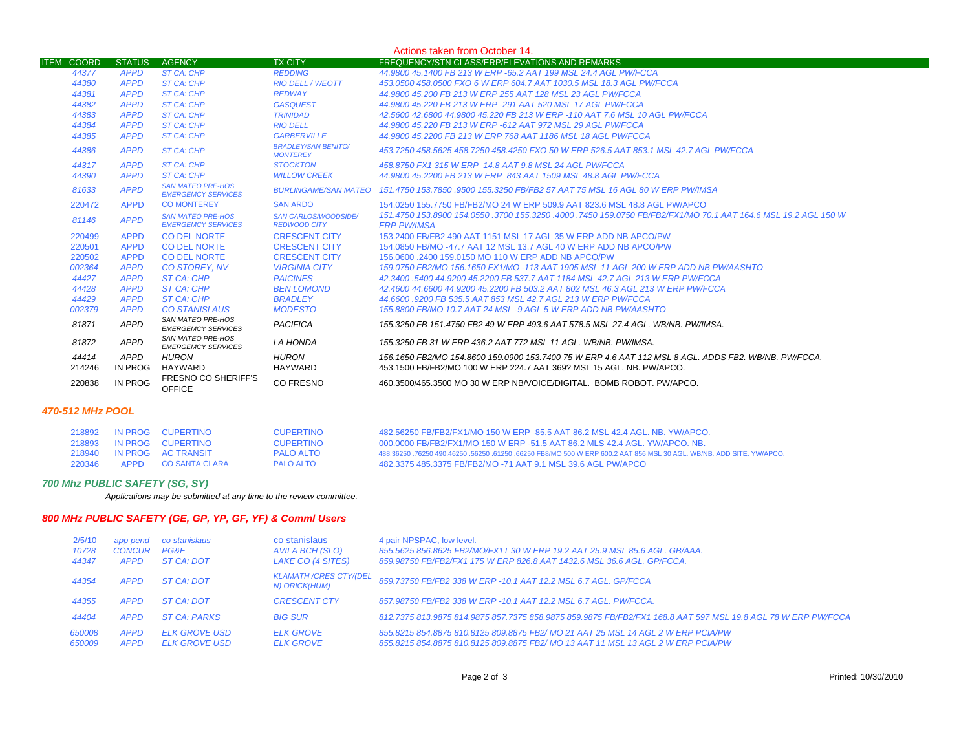| Actions taken from October 14. |               |                                                       |                                                    |                                                                                                                                       |  |
|--------------------------------|---------------|-------------------------------------------------------|----------------------------------------------------|---------------------------------------------------------------------------------------------------------------------------------------|--|
| <b>ITEM COORD</b>              | <b>STATUS</b> | <b>AGENCY</b>                                         | <b>TX CITY</b>                                     | FREQUENCY/STN CLASS/ERP/ELEVATIONS AND REMARKS                                                                                        |  |
| 44377                          | <b>APPD</b>   | ST CA: CHP                                            | <b>REDDING</b>                                     | 44,9800 45,1400 FB 213 W ERP -65.2 AAT 199 MSL 24.4 AGL PW/FCCA                                                                       |  |
| 44380                          | <b>APPD</b>   | ST CA: CHP                                            | <b>RIO DELL / WEOTT</b>                            | 453.0500 458.0500 FXO 6 W ERP 604.7 AAT 1030.5 MSL 18.3 AGL PW/FCCA                                                                   |  |
| 44381                          | <b>APPD</b>   | <b>ST CA: CHP</b>                                     | <b>REDWAY</b>                                      | 44,9800 45,200 FB 213 W ERP 255 AAT 128 MSL 23 AGL PW/FCCA                                                                            |  |
| 44382                          | <b>APPD</b>   | <b>ST CA: CHP</b>                                     | <b>GASQUEST</b>                                    | 44.9800 45.220 FB 213 W ERP -291 AAT 520 MSL 17 AGL PW/FCCA                                                                           |  |
| 44383                          | <b>APPD</b>   | <b>ST CA: CHP</b>                                     | <b>TRINIDAD</b>                                    | 42.5600 42.6800 44.9800 45.220 FB 213 W ERP -110 AAT 7.6 MSL 10 AGL PW/FCCA                                                           |  |
| 44384                          | <b>APPD</b>   | <b>ST CA: CHP</b>                                     | <b>RIO DELL</b>                                    | 44,9800 45,220 FB 213 W ERP -612 AAT 972 MSL 29 AGL PW/FCCA                                                                           |  |
| 44385                          | <b>APPD</b>   | <b>ST CA: CHP</b>                                     | <b>GARBERVILLE</b>                                 | 44.9800 45.2200 FB 213 W ERP 768 AAT 1186 MSL 18 AGL PW/FCCA                                                                          |  |
| 44386                          | <b>APPD</b>   | <b>ST CA: CHP</b>                                     | <b>BRADLEY/SAN BENITO/</b><br><b>MONTEREY</b>      | 453.7250 458.5625 458.7250 458.4250 FXO 50 W ERP 526.5 AAT 853.1 MSL 42.7 AGL PW/FCCA                                                 |  |
| 44317                          | <b>APPD</b>   | ST CA: CHP                                            | <b>STOCKTON</b>                                    | 458.8750 FX1 315 W ERP 14.8 AAT 9.8 MSL 24 AGL PW/FCCA                                                                                |  |
| 44390                          | <b>APPD</b>   | <b>ST CA: CHP</b>                                     | <b>WILLOW CREEK</b>                                | 44.9800 45.2200 FB 213 W ERP 843 AAT 1509 MSL 48.8 AGL PW/FCCA                                                                        |  |
| 81633                          | <b>APPD</b>   | <b>SAN MATEO PRE-HOS</b><br><b>EMERGEMCY SERVICES</b> |                                                    | BURLINGAME/SAN MATEO 151.4750 153.7850 .9500 155.3250 FB/FB2 57 AAT 75 MSL 16 AGL 80 W ERP PW/IMSA                                    |  |
| 220472                         | <b>APPD</b>   | <b>CO MONTEREY</b>                                    | <b>SAN ARDO</b>                                    | 154,0250 155,7750 FB/FB2/MO 24 W ERP 509.9 AAT 823.6 MSL 48.8 AGL PW/APCO                                                             |  |
| 81146                          | <b>APPD</b>   | <b>SAN MATEO PRE-HOS</b><br><b>EMERGEMCY SERVICES</b> | <b>SAN CARLOS/WOODSIDE/</b><br><b>REDWOOD CITY</b> | .151.4750 153.8900 154.0550 .3700 155.3250 .4000 .7450 159.0750 FB/FB2/FX1/MO 70.1 AAT 164.6 MSL 19.2 AGL 150 W<br><b>ERP PW/IMSA</b> |  |
| 220499                         | <b>APPD</b>   | <b>CO DEL NORTE</b>                                   | <b>CRESCENT CITY</b>                               | 153.2400 FB/FB2 490 AAT 1151 MSL 17 AGL 35 W ERP ADD NB APCO/PW                                                                       |  |
| 220501                         | <b>APPD</b>   | <b>CO DEL NORTE</b>                                   | <b>CRESCENT CITY</b>                               | 154,0850 FB/MO -47.7 AAT 12 MSL 13.7 AGL 40 W ERP ADD NB APCO/PW                                                                      |  |
| 220502                         | <b>APPD</b>   | <b>CO DEL NORTE</b>                                   | <b>CRESCENT CITY</b>                               | 156,0600,2400 159,0150 MO 110 W ERP ADD NB APCO/PW                                                                                    |  |
| 002364                         | <b>APPD</b>   | CO STOREY, NV                                         | <b>VIRGINIA CITY</b>                               | 159.0750 FB2/MO 156.1650 FX1/MO -113 AAT 1905 MSL 11 AGL 200 W ERP ADD NB PW/AASHTO                                                   |  |
| 44427                          | <b>APPD</b>   | ST CA: CHP                                            | <b>PAICINES</b>                                    | 42.3400 .5400 44.9200 45.2200 FB 537.7 AAT 1184 MSL 42.7 AGL 213 W ERP PW/FCCA                                                        |  |
| 44428                          | <b>APPD</b>   | ST CA: CHP                                            | <b>BEN LOMOND</b>                                  | 42.4600 44.6600 44.9200 45.2200 FB 503.2 AAT 802 MSL 46.3 AGL 213 W ERP PW/FCCA                                                       |  |
| 44429                          | <b>APPD</b>   | ST CA: CHP                                            | <b>BRADLEY</b>                                     | 44,6600,9200 FB 535.5 AAT 853 MSL 42.7 AGL 213 W ERP PW/FCCA                                                                          |  |
| 002379                         | <b>APPD</b>   | <b>CO STANISLAUS</b>                                  | <b>MODESTO</b>                                     | 155,8800 FB/MO 10.7 AAT 24 MSL -9 AGL 5 W ERP ADD NB PW/AASHTO                                                                        |  |
| 81871                          | <b>APPD</b>   | SAN MATEO PRE-HOS<br><b>EMERGEMCY SERVICES</b>        | PACIFICA                                           | 155,3250 FB 151,4750 FB2 49 W ERP 493.6 AAT 578.5 MSL 27.4 AGL, WB/NB, PW/IMSA.                                                       |  |
| 81872                          | <b>APPD</b>   | SAN MATEO PRE-HOS<br><b>EMERGEMCY SERVICES</b>        | LA HONDA                                           | 155.3250 FB 31 W ERP 436.2 AAT 772 MSL 11 AGL, WB/NB, PW/IMSA.                                                                        |  |
| 44414                          | APPD          | HURON                                                 | <b>HURON</b>                                       | 156.1650 FB2/MO 154.8600 159.0900 153.7400 75 W ERP 4.6 AAT 112 MSL 8 AGL. ADDS FB2. WB/NB. PW/FCCA.                                  |  |
| 214246                         | IN PROG       | HAYWARD                                               | <b>HAYWARD</b>                                     | 453.1500 FB/FB2/MO 100 W ERP 224.7 AAT 369? MSL 15 AGL, NB, PW/APCO,                                                                  |  |
| 220838                         | IN PROG       | <b>FRESNO CO SHERIFF'S</b><br><b>OFFICE</b>           | <b>CO FRESNO</b>                                   | 460.3500/465.3500 MO 30 W ERP NB/VOICE/DIGITAL. BOMB ROBOT, PW/APCO.                                                                  |  |

### *470-512 MHz POOL*

| 218892 |      | IN PROG CUPERTINO         | <b>CUPERTINO</b> | 482.56250 FB/FB2/FX1/MO 150 W ERP -85.5 AAT 86.2 MSL 42.4 AGL, NB, YW/APCO,                                         |
|--------|------|---------------------------|------------------|---------------------------------------------------------------------------------------------------------------------|
| 218893 |      | IN PROG CUPERTINO         | <b>CUPERTINO</b> | 000 0000 FB/FB2/FX1/MO 150 W FRP -51 5 AAT 86 2 MLS 42 4 AGL. YW/APCO NB                                            |
|        |      | 218940 IN PROG AC TRANSIT | PALO ALTO        | 488.36250 .76250 490.46250 .56250 .61250 .66250 FB8/MO 500 W ERP 600.2 AAT 856 MSL 30 AGL, WB/NB, ADD SITE, YW/APCO |
| 220346 | APPD | CO SANTA CLARA            | <b>PALO ALTO</b> | 482.3375 485.3375 FB/FB2/MO -71 AAT 9.1 MSL 39.6 AGL PW/APCO                                                        |

#### *700 Mhz PUBLIC SAFETY (SG, SY)*

*Applications may be submitted at any time to the review committee.*

## *800 MHz PUBLIC SAFETY (GE, GP, YP, GF, YF) & Comml Users*

| 2/5/10<br>10728<br>44347 | app pend<br><b>CONCUR</b><br><b>APPD</b> | co stanislaus<br><b>PG&amp;E</b><br>ST CA: DOT | co stanislaus<br>AVILA BCH (SLO)<br>LAKE CO (4 SITES) | 4 pair NPSPAC, low level.<br>855.5625 856.8625 FB2/MO/FX1T 30 W ERP 19.2 AAT 25.9 MSL 85.6 AGL, GB/AAA,<br>859.98750 FB/FB2/FX1 175 W ERP 826.8 AAT 1432.6 MSL 36.6 AGL, GP/FCCA, |
|--------------------------|------------------------------------------|------------------------------------------------|-------------------------------------------------------|-----------------------------------------------------------------------------------------------------------------------------------------------------------------------------------|
| 44354                    | <b>APPD</b>                              | ST CA: DOT                                     | <b>KLAMATH/CRES CTY/(DEL</b><br>N) ORICK(HUM)         | 859.73750 FB/FB2 338 W ERP -10.1 AAT 12.2 MSL 6.7 AGL. GP/FCCA                                                                                                                    |
| 44355                    | <b>APPD</b>                              | ST CA: DOT                                     | <b>CRESCENT CTY</b>                                   | 857.98750 FB/FB2 338 W ERP -10.1 AAT 12.2 MSL 6.7 AGL, PW/FCCA.                                                                                                                   |
| 44404                    | <b>APPD</b>                              | <b>ST CA: PARKS</b>                            | <b>BIG SUR</b>                                        | 812.7375 813.9875 814.9875 857.7375 858.9875 859.9875 FB/FB2/FX1 168.8 AAT 597 MSL 19.8 AGL 78 W ERP PW/FCCA                                                                      |
| 650008<br>650009         | <b>APPD</b><br><b>APPD</b>               | ELK GROVE USD<br><b>ELK GROVE USD</b>          | <b>ELK GROVE</b><br><b>ELK GROVE</b>                  | 855.8215 854.8875 810.8125 809.8875 FB2/MO 21 AAT 25 MSL 14 AGL 2 W ERP PCIA/PW<br>855.8215 854.8875 810.8125 809.8875 FB2/MO 13 AAT 11 MSL 13 AGL 2 W ERP PCIA/PW                |